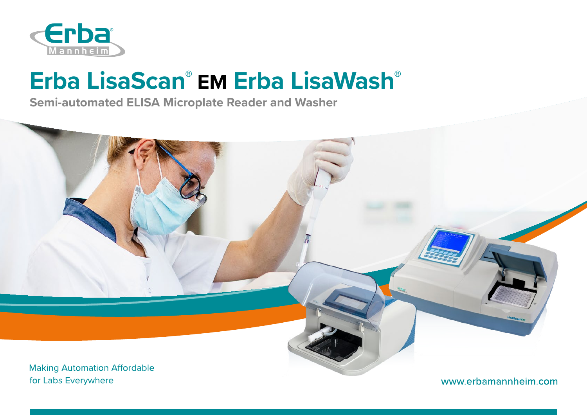

# ${\sf Erba\ LisaScan}^{\circ}$  EM Erba LisaWash<sup>®</sup>

**Semi-automated ELISA Microplate Reader and Washer**



www.erbamannheim.com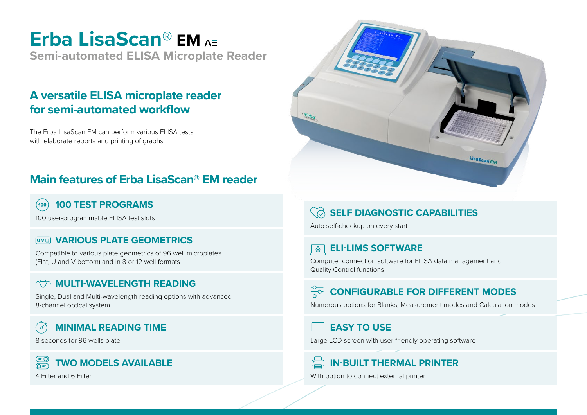# **Erba LisaScan® EM**

**Semi-automated ELISA Microplate Reader**

## **A versatile ELISA microplate reader for semi-automated workflow**

The Erba LisaScan EM can perform various ELISA tests with elaborate reports and printing of graphs.

## **Main features of Erba LisaScan® EM reader**

#### **100 TEST PROGRAMS**  $(100)$

100 user-programmable ELISA test slots

### **VARIOUS PLATE GEOMETRICS**

Compatible to various plate geometrics of 96 well microplates (Flat, U and V bottom) and in 8 or 12 well formats

### **MULTI-WAVELENGTH READING**

Single, Dual and Multi-wavelength reading options with advanced 8-channel optical system



8 seconds for 96 wells plate



4 Filter and 6 Filter



### **SELF DIAGNOSTIC CAPABILITIES**

Auto self-checkup on every start



### **ELI-LIMS SOFTWARE**

Computer connection software for ELISA data management and Quality Control functions

### **CONFIGURABLE FOR DIFFERENT MODES**

Numerous options for Blanks, Measurement modes and Calculation modes

### **EASY TO USE**

Large LCD screen with user-friendly operating software

## **IN-BUILT THERMAL PRINTER**

With option to connect external printer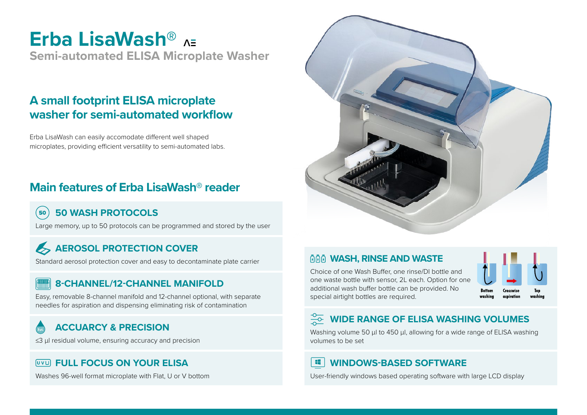# **Erba LisaWash®**

**Semi-automated ELISA Microplate Washer**

## **A small footprint ELISA microplate washer for semi-automated workflow**

Erba LisaWash can easily accomodate different well shaped microplates, providing efficient versatility to semi-automated labs.

## **Main features of Erba LisaWash® reader**

#### **50 WASH PROTOCOLS**  $\sqrt{50}$

Large memory, up to 50 protocols can be programmed and stored by the user

## **AEROSOL PROTECTION COVER**

Standard aerosol protection cover and easy to decontaminate plate carrier

### **8-CHANNEL/12-CHANNEL MANIFOLD**

Easy, removable 8-channel manifold and 12-channel optional, with separate needles for aspiration and dispensing eliminating risk of contamination

## **ACCUARCY & PRECISION**

≤3 μl residual volume, ensuring accuracy and precision

### **FULL FOCUS ON YOUR ELISA**

Washes 96-well format microplate with Flat, U or V bottom



### **MAGH, RINSE AND WASTE**

Choice of one Wash Buffer, one rinse/DI bottle and one waste bottle with sensor, 2L each. Option for one additional wash buffer bottle can be provided. No special airtight bottles are required.



### **WIDE RANGE OF ELISA WASHING VOLUMES**

Washing volume 50 μl to 450 μl, allowing for a wide range of ELISA washing volumes to be set

#### **WINDOWS-BASED SOFTWARE** - 44

User-friendly windows based operating software with large LCD display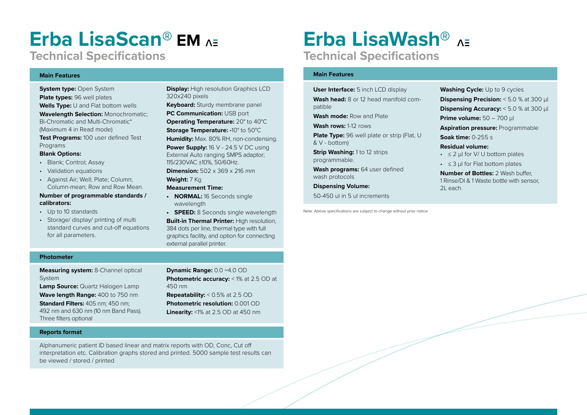# **Erba LisaScan® EM**

**Technical Specifications**

#### **Main Features**

**System type: Open System Plate types: 96 well plates Wells Type:** U and Flat bottom wells **Wavelength Selection:** Monochromatic; Bi-Chromatic and Multi-Chromatic\* (Maximum 4 in Read mode)

**Test Programs:** 100 user defined Test **Programs** 

#### **Blank Options:**

- Blank; Control; Assay
- Validation equations
- Against Air; Well; Plate; Column; Column-mean; Row and Row Mean.

#### **Number of programmable standards / calibrators:**

- Un to 10 standards
- Storage/ display/ printing of multi standard curves and cut-off equations for all parameters.

**Display:** High resolution Graphics LCD 320x240 pixels **Keyboard:** Sturdy membrane panel **PC Communication: USB port Operating Temperature:** 20° to 40°C **Storage Temperature: -10° to 50°C Humidity:** Max. 80% RH, non-condensing. **Power Supply:** 16 V - 24.5 V DC using External Auto ranging SMPS adaptor; 115/230VAC ±10%, 50/60Hz. **Dimension:**  $502 \times 369 \times 216$  mm **Weight:** 7 Kg

**Measurement Time:**

- **• NORMAL:** 16 Seconds single wavelength
- **• SPEED:** 8 Seconds single wavelength **Built-in Thermal Printer: High resolution,** 384 dots per line, thermal type with full graphics facility, and option for connecting external parallel printer.

#### **Photometer**

**Measuring system:** 8-Channel optical System

**Lamp Source:** Quartz Halogen Lamp **Wave length Range:** 400 to 750 nm **Standard Filters: 405 nm; 450 nm;** 492 nm and 630 nm (10 nm Band Pass). Three filters optional

**Dynamic Range:** 0.0 ~4.0 OD **Photometric accuracy:** < 1% at 2.5 OD at 450 nm

**Repeatability:** < 0.5% at 2.5 OD **Photometric resolution:** 0.001 OD **Linearity:** <1% at 2.5 OD at 450 nm

#### **Reports format**

Alphanumeric patient ID based linear and matrix reports with OD, Conc, Cut off interpretation etc. Calibration graphs stored and printed. 5000 sample test results can be viewed / stored / printed

# **Erba LisaWash®**

### **Technical Specifications**

#### **Main Features**

**User Interface:** 5 inch LCD display **Wash head:** 8 or 12 head manifold compatible

**Wash mode:** Row and Plate

**Wash rows:** 1-12 rows

**Plate Type:** 96 well plate or strip (Flat, U & V - bottom)

**Strip Washing: 1 to 12 strips** programmable.

**Wash programs:** 64 user defined wash protocols

**Dispensing Volume:** 

50-450 ul in 5 ul increments

Note: Above specifications are subject to change without prior notice

**Washing Cycle:** Up to 9 cycles **Dispensing Precision:** < 5.0 % at 300 μl **Dispensing Accuracy:** < 5.0 % at 300 μl **Prime volume:** 50 – 700 μl **Aspiration pressure: Programmable Soak time:** 0-255 s

#### **Residual volume:**

 $\cdot$   $\leq$  2 μl for V/U bottom plates

 $\cdot$   $\leq$  3 µl for Flat bottom plates

**Number of Bottles: 2 Wash buffer,** 1 Rinse/DI & 1 Waste bottle with sensor, 2L each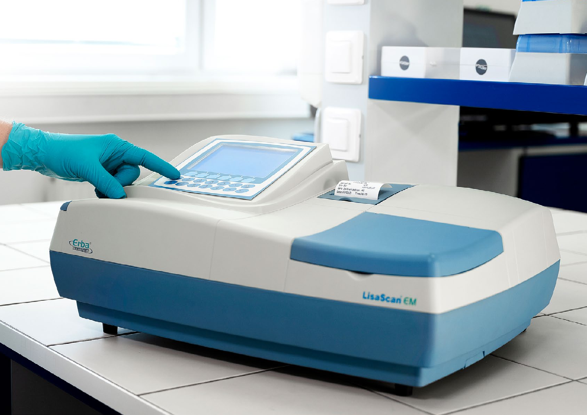